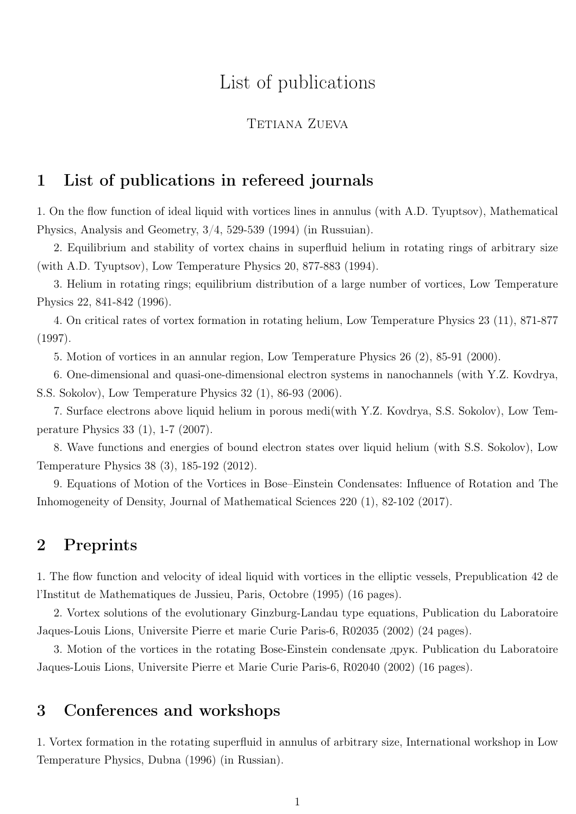# List of publications

#### TETIANA ZUEVA

#### 1 List of publications in refereed journals

1. On the flow function of ideal liquid with vortices lines in annulus (with A.D. Tyuptsov), Mathematical Physics, Analysis and Geometry, 3/4, 529-539 (1994) (in Russuian).

2. Equilibrium and stability of vortex chains in superfluid helium in rotating rings of arbitrary size (with A.D. Tyuptsov), Low Temperature Physics 20, 877-883 (1994).

3. Helium in rotating rings; equilibrium distribution of a large number of vortices, Low Temperature Physics 22, 841-842 (1996).

4. On critical rates of vortex formation in rotating helium, Low Temperature Physics 23 (11), 871-877 (1997).

5. Motion of vortices in an annular region, Low Temperature Physics 26 (2), 85-91 (2000).

6. One-dimensional and quasi-one-dimensional electron systems in nanochannels (with Y.Z. Kovdrya, S.S. Sokolov), Low Temperature Physics 32 (1), 86-93 (2006).

7. Surface electrons above liquid helium in porous medi(with Y.Z. Kovdrya, S.S. Sokolov), Low Temperature Physics 33 (1), 1-7 (2007).

8. Wave functions and energies of bound electron states over liquid helium (with S.S. Sokolov), Low Temperature Physics 38 (3), 185-192 (2012).

9. Equations of Motion of the Vortices in Bose–Einstein Condensates: Influence of Rotation and The Inhomogeneity of Density, Journal of Mathematical Sciences 220 (1), 82-102 (2017).

## 2 Preprints

1. The flow function and velocity of ideal liquid with vortices in the elliptic vessels, Prepublication 42 de l'Institut de Mathematiques de Jussieu, Paris, Octobre (1995) (16 pages).

2. Vortex solutions of the evolutionary Ginzburg-Landau type equations, Publication du Laboratoire Jaques-Louis Lions, Universite Pierre et marie Curie Paris-6, R02035 (2002) (24 pages).

3. Motion of the vortices in the rotating Bose-Einstein condensate друк. Publication du Laboratoire Jaques-Louis Lions, Universite Pierre et Marie Curie Paris-6, R02040 (2002) (16 pages).

### 3 Conferences and workshops

1. Vortex formation in the rotating superfluid in annulus of arbitrary size, International workshop in Low Temperature Physics, Dubna (1996) (in Russian).